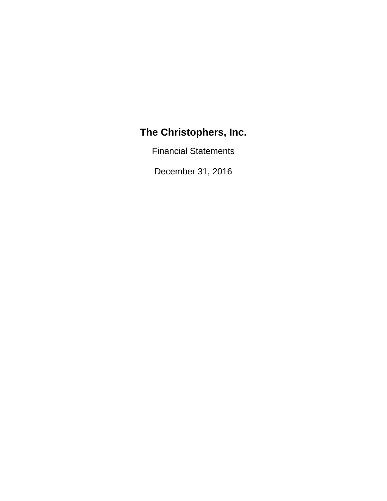Financial Statements

December 31, 2016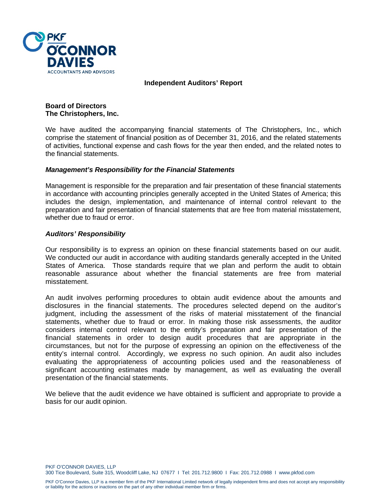

**Independent Auditors' Report** 

**Board of Directors The Christophers, Inc.** 

We have audited the accompanying financial statements of The Christophers, Inc., which comprise the statement of financial position as of December 31, 2016, and the related statements of activities, functional expense and cash flows for the year then ended, and the related notes to the financial statements.

#### *Management's Responsibility for the Financial Statements*

Management is responsible for the preparation and fair presentation of these financial statements in accordance with accounting principles generally accepted in the United States of America; this includes the design, implementation, and maintenance of internal control relevant to the preparation and fair presentation of financial statements that are free from material misstatement, whether due to fraud or error.

#### *Auditors' Responsibility*

Our responsibility is to express an opinion on these financial statements based on our audit. We conducted our audit in accordance with auditing standards generally accepted in the United States of America. Those standards require that we plan and perform the audit to obtain reasonable assurance about whether the financial statements are free from material misstatement.

An audit involves performing procedures to obtain audit evidence about the amounts and disclosures in the financial statements. The procedures selected depend on the auditor's judgment, including the assessment of the risks of material misstatement of the financial statements, whether due to fraud or error. In making those risk assessments, the auditor considers internal control relevant to the entity's preparation and fair presentation of the financial statements in order to design audit procedures that are appropriate in the circumstances, but not for the purpose of expressing an opinion on the effectiveness of the entity's internal control. Accordingly, we express no such opinion. An audit also includes evaluating the appropriateness of accounting policies used and the reasonableness of significant accounting estimates made by management, as well as evaluating the overall presentation of the financial statements.

We believe that the audit evidence we have obtained is sufficient and appropriate to provide a basis for our audit opinion.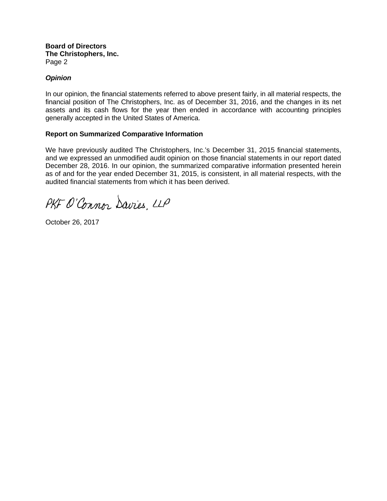**Board of Directors The Christophers, Inc.**  Page 2

# *Opinion*

In our opinion, the financial statements referred to above present fairly, in all material respects, the financial position of The Christophers, Inc. as of December 31, 2016, and the changes in its net assets and its cash flows for the year then ended in accordance with accounting principles generally accepted in the United States of America.

# **Report on Summarized Comparative Information**

We have previously audited The Christophers, Inc.'s December 31, 2015 financial statements, and we expressed an unmodified audit opinion on those financial statements in our report dated December 28, 2016. In our opinion, the summarized comparative information presented herein as of and for the year ended December 31, 2015, is consistent, in all material respects, with the audited financial statements from which it has been derived.

PKF O'Connor Davies, LLP

October 26, 2017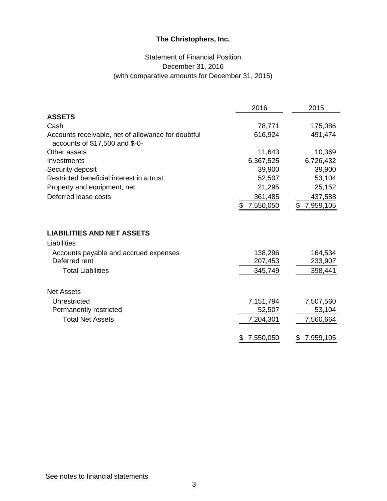# Statement of Financial Position December 31, 2016 (with comparative amounts for December 31, 2015)

|                                                                                      | 2016            | 2015            |
|--------------------------------------------------------------------------------------|-----------------|-----------------|
| <b>ASSETS</b>                                                                        |                 |                 |
| Cash                                                                                 | 78,771          | 175,086         |
| Accounts receivable, net of allowance for doubtful<br>accounts of \$17,500 and \$-0- | 616,924         | 491,474         |
| Other assets                                                                         | 11,643          | 10,369          |
| Investments                                                                          | 6,367,525       | 6,726,432       |
| Security deposit                                                                     | 39,900          | 39,900          |
| Restricted beneficial interest in a trust                                            | 52,507          | 53,104          |
| Property and equipment, net                                                          | 21,295          | 25,152          |
| Deferred lease costs                                                                 | 361,485         | 437,588         |
|                                                                                      | 7,550,050<br>\$ | 7,959,105<br>\$ |
| <b>LIABILITIES AND NET ASSETS</b>                                                    |                 |                 |
| Liabilities                                                                          |                 |                 |
| Accounts payable and accrued expenses<br>Deferred rent                               | 138,296         | 164,534         |
|                                                                                      | 207,453         | 233,907         |
| <b>Total Liabilities</b>                                                             | 345,749         | 398,441         |
| <b>Net Assets</b>                                                                    |                 |                 |
| Unrestricted                                                                         | 7,151,794       | 7,507,560       |
| Permanently restricted                                                               | 52,507          | 53,104          |
| <b>Total Net Assets</b>                                                              | 7,204,301       | 7,560,664       |
|                                                                                      | 7,550,050<br>\$ | 7,959,105<br>\$ |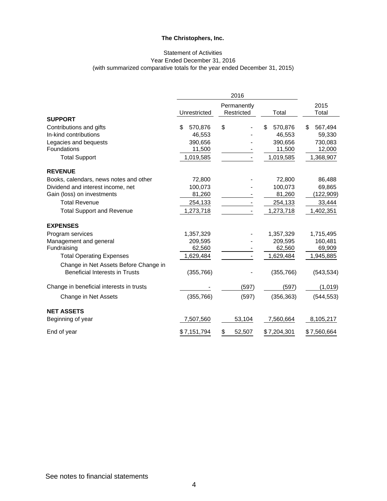#### Statement of Activities Year Ended December 31, 2016 (with summarized comparative totals for the year ended December 31, 2015)

|                                          |               | 2016                      |              |               |
|------------------------------------------|---------------|---------------------------|--------------|---------------|
|                                          | Unrestricted  | Permanently<br>Restricted | Total        | 2015<br>Total |
| <b>SUPPORT</b>                           |               |                           |              |               |
| Contributions and gifts                  | 570,876<br>\$ | \$                        | 570,876<br>S | 567,494<br>\$ |
| In-kind contributions                    | 46,553        |                           | 46,553       | 59,330        |
| Legacies and bequests                    | 390,656       |                           | 390,656      | 730,083       |
| Foundations                              | 11,500        |                           | 11,500       | 12,000        |
| <b>Total Support</b>                     | 1,019,585     |                           | 1,019,585    | 1,368,907     |
| <b>REVENUE</b>                           |               |                           |              |               |
| Books, calendars, news notes and other   | 72,800        |                           | 72,800       | 86,488        |
| Dividend and interest income, net        | 100,073       |                           | 100,073      | 69,865        |
| Gain (loss) on investments               | 81,260        |                           | 81,260       | (122, 909)    |
| <b>Total Revenue</b>                     | 254,133       |                           | 254,133      | 33,444        |
| <b>Total Support and Revenue</b>         | 1,273,718     |                           | 1,273,718    | 1,402,351     |
| <b>EXPENSES</b>                          |               |                           |              |               |
| Program services                         | 1,357,329     |                           | 1,357,329    | 1,715,495     |
| Management and general                   | 209,595       |                           | 209,595      | 160,481       |
| Fundraising                              | 62,560        |                           | 62,560       | 69,909        |
| <b>Total Operating Expenses</b>          | 1,629,484     |                           | 1,629,484    | 1,945,885     |
| Change in Net Assets Before Change in    |               |                           |              |               |
| Beneficial Interests in Trusts           | (355, 766)    |                           | (355, 766)   | (543, 534)    |
| Change in beneficial interests in trusts |               | (597)                     | (597)        | (1,019)       |
| Change in Net Assets                     | (355, 766)    | (597)                     | (356, 363)   | (544, 553)    |
| <b>NET ASSETS</b>                        |               |                           |              |               |
| Beginning of year                        | 7,507,560     | 53,104                    | 7,560,664    | 8,105,217     |
| End of year                              | \$7,151,794   | \$<br>52,507              | \$7,204,301  | \$7,560,664   |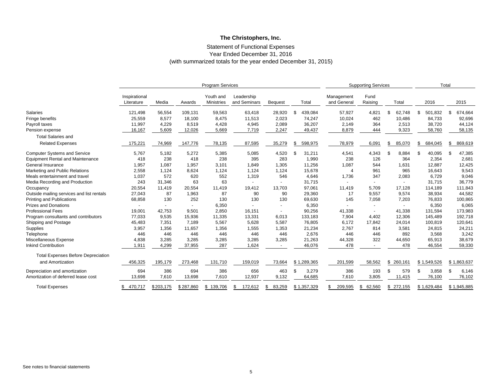#### Statement of Functional Expenses Year Ended December 31, 2016 (with summarized totals for the year ended December 31, 2015)

|                                           |                             |           |           | <b>Program Services</b>        |                            |                          |                |                           | <b>Supporting Services</b> |               |               | Total         |
|-------------------------------------------|-----------------------------|-----------|-----------|--------------------------------|----------------------------|--------------------------|----------------|---------------------------|----------------------------|---------------|---------------|---------------|
|                                           | Inspirational<br>Literature | Media     | Awards    | Youth and<br><b>Ministries</b> | Leadership<br>and Seminars | <b>Bequest</b>           | Total          | Management<br>and General | Fund<br>Raising            | Total         | 2016          | 2015          |
| <b>Salaries</b>                           | 121,498                     | 56,554    | 109,131   | 59,563                         | 63,418                     | 28,920                   | 439,084<br>-\$ | 57,927                    | 4,821                      | 62,748<br>S   | 501,832<br>\$ | 674,664       |
| Fringe benefits                           | 25,559                      | 8,577     | 18,100    | 8,475                          | 11,513                     | 2,023                    | 74,247         | 10,024                    | 462                        | 10,486        | 84,733        | 92,696        |
| Payroll taxes                             | 11,997                      | 4,229     | 8,519     | 4,428                          | 4,945                      | 2,089                    | 36,207         | 2,149                     | 364                        | 2,513         | 38,720        | 44,124        |
| Pension expense                           | 16,167                      | 5,609     | 12,026    | 5,669                          | 7,719                      | 2,247                    | 49,437         | 8,879                     | 444                        | 9,323         | 58,760        | 58,135        |
| <b>Total Salaries and</b>                 |                             |           |           |                                |                            |                          |                |                           |                            |               |               |               |
| <b>Related Expenses</b>                   | 175,221                     | 74,969    | 147,776   | 78,135                         | 87,595                     | 35,279                   | 598,975<br>-S  | 78,979                    | 6,091                      | 85,070<br>S   | \$<br>684,045 | 869,619<br>£. |
| <b>Computer Systems and Service</b>       | 5,767                       | 5,182     | 5,272     | 5,385                          | 5,085                      | 4,520                    | 31,211<br>-\$  | 4,541                     | 4,343                      | 8,884         | 40,095<br>\$. | 47,385        |
| <b>Equipment Rental and Maintenance</b>   | 418                         | 238       | 418       | 238                            | 395                        | 283                      | 1,990          | 238                       | 126                        | 364           | 2,354         | 2,681         |
| General Insurance                         | 1,957                       | 1,087     | 1,957     | 3,101                          | 1,849                      | 1,305                    | 11,256         | 1,087                     | 544                        | 1,631         | 12,887        | 12,425        |
| Marketing and Public Relations            | 2,558                       | 1,124     | 8,624     | 1,124                          | 1,124                      | 1,124                    | 15,678         | $\overline{4}$            | 961                        | 965           | 16,643        | 9,543         |
| Meals entertainment and travel            | 1,037                       | 572       | 620       | 552                            | 1,319                      | 546                      | 4,646          | 1,736                     | 347                        | 2,083         | 6,729         | 9,046         |
| Media Recording and Production            | 243                         | 31,346    | 63        | 63                             |                            |                          | 31,715         |                           |                            |               | 31,715        | 36,779        |
| Occupancy                                 | 20,554                      | 11,419    | 20,554    | 11,419                         | 19,412                     | 13,703                   | 97,061         | 11,419                    | 5,709                      | 17,128        | 114,189       | 111,843       |
| Outside mailing services and list rentals | 27,043                      | 87        | 1,963     | 87                             | 90                         | 90                       | 29,360         | 17                        | 9,557                      | 9,574         | 38,934        | 44,582        |
| <b>Printing and Publications</b>          | 68,858                      | 130       | 252       | 130                            | 130                        | 130                      | 69,630         | 145                       | 7,058                      | 7,203         | 76,833        | 100,865       |
| <b>Prizes and Donations</b>               |                             |           |           | 6,350                          |                            |                          | 6,350          |                           |                            |               | 6,350         | 6,065         |
| <b>Professional Fees</b>                  | 19,001                      | 42,753    | 9,501     | 2,850                          | 16,151                     | $\overline{\phantom{a}}$ | 90,256         | 41,338                    |                            | 41,338        | 131,594       | 173,983       |
| Program consultants and contributors      | 77,033                      | 9,535     | 15,936    | 11,335                         | 13,331                     | 6,013                    | 133,183        | 7,904                     | 4,402                      | 12,306        | 145,489       | 192,718       |
| Shipping and Postage                      | 45,483                      | 7,351     | 7,189     | 5,567                          | 5,628                      | 5,587                    | 76,805         | 6,172                     | 17,842                     | 24,014        | 100,819       | 120,641       |
| Supplies                                  | 3,957                       | 1,356     | 11,657    | 1,356                          | 1,555                      | 1,353                    | 21,234         | 2,767                     | 814                        | 3,581         | 24,815        | 24,211        |
| Telephone                                 | 446                         | 446       | 446       | 446                            | 446                        | 446                      | 2,676          | 446                       | 446                        | 892           | 3,568         | 3,242         |
| Miscellaneous Expense                     | 4,838                       | 3,285     | 3,285     | 3,285                          | 3,285                      | 3,285                    | 21,263         | 44,328                    | 322                        | 44,650        | 65,913        | 38,679        |
| <b>Inkind Contribution</b>                | 1,911                       | 4,299     | 37,955    | 287                            | 1,624                      | $\sim$                   | 46,076         | 478                       | $\overline{\phantom{a}}$   | 478           | 46,554        | 59,330        |
| <b>Total Expenses Before Depreciation</b> |                             |           |           |                                |                            |                          |                |                           |                            |               |               |               |
| and Amortization                          | 456,325                     | 195,179   | 273,468   | 131,710                        | 159,019                    | 73,664                   | \$1,289,365    | 201,599                   | 58,562                     | 260,161<br>\$ | \$1,549,526   | \$1,863,637   |
| Depreciation and amortization             | 694                         | 386       | 694       | 386                            | 656                        | 463                      | \$<br>3,279    | 386                       | 193                        | \$<br>579     | \$<br>3,858   | \$<br>6,146   |
| Amortization of deferred lease cost       | 13,698                      | 7,610     | 13,698    | 7,610                          | 12,937                     | 9,132                    | 64,685         | 7,610                     | 3,805                      | 11,415        | 76,100        | 76,102        |
| <b>Total Expenses</b>                     | 470,717<br>\$               | \$203,175 | \$287,860 | \$139,706                      | 172,612<br>\$              | 83,259<br>\$             | \$1,357,329    | 209,595<br>\$             | \$<br>62,560               | \$272,155     | \$1,629,484   | \$1,945,885   |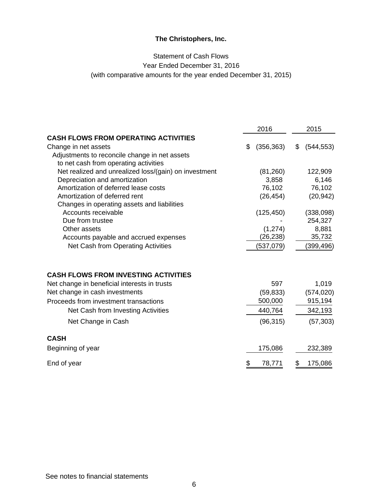# Statement of Cash Flows Year Ended December 31, 2016 (with comparative amounts for the year ended December 31, 2015)

|                                                       |    | 2016       | 2015             |
|-------------------------------------------------------|----|------------|------------------|
| <b>CASH FLOWS FROM OPERATING ACTIVITIES</b>           |    |            |                  |
| Change in net assets                                  | \$ | (356, 363) | \$<br>(544, 553) |
| Adjustments to reconcile change in net assets         |    |            |                  |
| to net cash from operating activities                 |    |            |                  |
| Net realized and unrealized loss/(gain) on investment |    | (81,260)   | 122,909          |
| Depreciation and amortization                         |    | 3,858      | 6,146            |
| Amortization of deferred lease costs                  |    | 76,102     | 76,102           |
| Amortization of deferred rent                         |    | (26, 454)  | (20, 942)        |
| Changes in operating assets and liabilities           |    |            |                  |
| Accounts receivable                                   |    | (125, 450) | (338,098)        |
| Due from trustee                                      |    |            | 254,327          |
| Other assets                                          |    | (1, 274)   | 8,881            |
| Accounts payable and accrued expenses                 |    | (26, 238)  | 35,732           |
| Net Cash from Operating Activities                    |    | (537,079)  | (399,496)        |
| <b>CASH FLOWS FROM INVESTING ACTIVITIES</b>           |    |            |                  |
|                                                       |    |            |                  |
| Net change in beneficial interests in trusts          |    | 597        | 1,019            |
| Net change in cash investments                        |    | (59, 833)  | (574, 020)       |
| Proceeds from investment transactions                 |    | 500,000    | 915,194          |
| Net Cash from Investing Activities                    |    | 440,764    | 342,193          |
| Net Change in Cash                                    |    | (96, 315)  | (57, 303)        |
| <b>CASH</b>                                           |    |            |                  |
| Beginning of year                                     |    | 175,086    | 232,389          |
| End of year                                           | S  | 78,771     | \$<br>175,086    |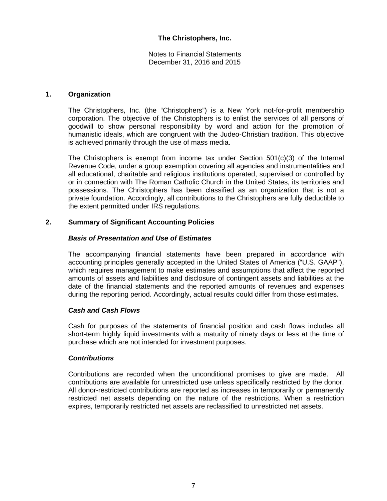Notes to Financial Statements December 31, 2016 and 2015

# **1. Organization**

The Christophers, Inc. (the "Christophers") is a New York not-for-profit membership corporation. The objective of the Christophers is to enlist the services of all persons of goodwill to show personal responsibility by word and action for the promotion of humanistic ideals, which are congruent with the Judeo-Christian tradition. This objective is achieved primarily through the use of mass media.

The Christophers is exempt from income tax under Section  $501(c)(3)$  of the Internal Revenue Code, under a group exemption covering all agencies and instrumentalities and all educational, charitable and religious institutions operated, supervised or controlled by or in connection with The Roman Catholic Church in the United States, its territories and possessions. The Christophers has been classified as an organization that is not a private foundation. Accordingly, all contributions to the Christophers are fully deductible to the extent permitted under IRS regulations.

# **2. Summary of Significant Accounting Policies**

# *Basis of Presentation and Use of Estimates*

The accompanying financial statements have been prepared in accordance with accounting principles generally accepted in the United States of America ("U.S. GAAP"), which requires management to make estimates and assumptions that affect the reported amounts of assets and liabilities and disclosure of contingent assets and liabilities at the date of the financial statements and the reported amounts of revenues and expenses during the reporting period. Accordingly, actual results could differ from those estimates.

#### *Cash and Cash Flows*

Cash for purposes of the statements of financial position and cash flows includes all short-term highly liquid investments with a maturity of ninety days or less at the time of purchase which are not intended for investment purposes.

#### *Contributions*

Contributions are recorded when the unconditional promises to give are made. All contributions are available for unrestricted use unless specifically restricted by the donor. All donor-restricted contributions are reported as increases in temporarily or permanently restricted net assets depending on the nature of the restrictions. When a restriction expires, temporarily restricted net assets are reclassified to unrestricted net assets.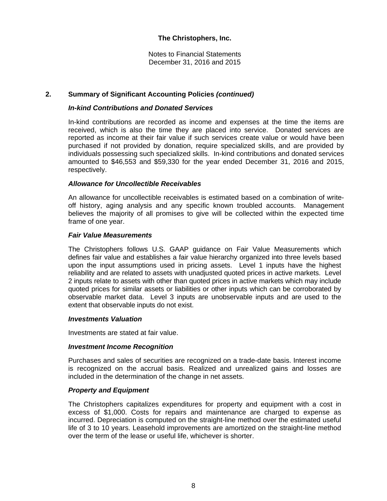Notes to Financial Statements December 31, 2016 and 2015

# **2. Summary of Significant Accounting Policies** *(continued)*

# *In-kind Contributions and Donated Services*

In-kind contributions are recorded as income and expenses at the time the items are received, which is also the time they are placed into service. Donated services are reported as income at their fair value if such services create value or would have been purchased if not provided by donation, require specialized skills, and are provided by individuals possessing such specialized skills. In-kind contributions and donated services amounted to \$46,553 and \$59,330 for the year ended December 31, 2016 and 2015, respectively.

#### *Allowance for Uncollectible Receivables*

 An allowance for uncollectible receivables is estimated based on a combination of writeoff history, aging analysis and any specific known troubled accounts. Management believes the majority of all promises to give will be collected within the expected time frame of one year.

#### *Fair Value Measurements*

The Christophers follows U.S. GAAP guidance on Fair Value Measurements which defines fair value and establishes a fair value hierarchy organized into three levels based upon the input assumptions used in pricing assets. Level 1 inputs have the highest reliability and are related to assets with unadjusted quoted prices in active markets. Level 2 inputs relate to assets with other than quoted prices in active markets which may include quoted prices for similar assets or liabilities or other inputs which can be corroborated by observable market data. Level 3 inputs are unobservable inputs and are used to the extent that observable inputs do not exist.

#### *Investments Valuation*

Investments are stated at fair value.

#### *Investment Income Recognition*

Purchases and sales of securities are recognized on a trade-date basis. Interest income is recognized on the accrual basis. Realized and unrealized gains and losses are included in the determination of the change in net assets.

#### *Property and Equipment*

The Christophers capitalizes expenditures for property and equipment with a cost in excess of \$1,000. Costs for repairs and maintenance are charged to expense as incurred. Depreciation is computed on the straight-line method over the estimated useful life of 3 to 10 years. Leasehold improvements are amortized on the straight-line method over the term of the lease or useful life, whichever is shorter.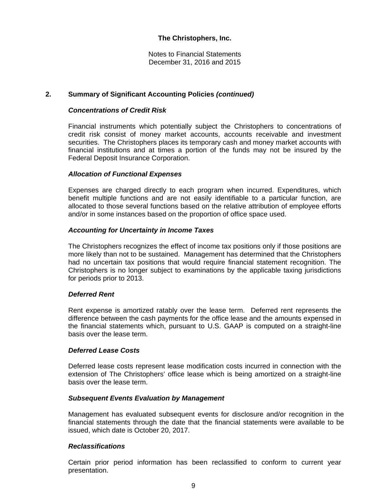Notes to Financial Statements December 31, 2016 and 2015

# **2. Summary of Significant Accounting Policies** *(continued)*

### *Concentrations of Credit Risk*

Financial instruments which potentially subject the Christophers to concentrations of credit risk consist of money market accounts, accounts receivable and investment securities. The Christophers places its temporary cash and money market accounts with financial institutions and at times a portion of the funds may not be insured by the Federal Deposit Insurance Corporation.

# *Allocation of Functional Expenses*

Expenses are charged directly to each program when incurred. Expenditures, which benefit multiple functions and are not easily identifiable to a particular function, are allocated to those several functions based on the relative attribution of employee efforts and/or in some instances based on the proportion of office space used.

#### *Accounting for Uncertainty in Income Taxes*

The Christophers recognizes the effect of income tax positions only if those positions are more likely than not to be sustained. Management has determined that the Christophers had no uncertain tax positions that would require financial statement recognition. The Christophers is no longer subject to examinations by the applicable taxing jurisdictions for periods prior to 2013.

#### *Deferred Rent*

Rent expense is amortized ratably over the lease term. Deferred rent represents the difference between the cash payments for the office lease and the amounts expensed in the financial statements which, pursuant to U.S. GAAP is computed on a straight-line basis over the lease term.

#### *Deferred Lease Costs*

Deferred lease costs represent lease modification costs incurred in connection with the extension of The Christophers' office lease which is being amortized on a straight-line basis over the lease term.

#### *Subsequent Events Evaluation by Management*

Management has evaluated subsequent events for disclosure and/or recognition in the financial statements through the date that the financial statements were available to be issued, which date is October 20, 2017.

#### *Reclassifications*

Certain prior period information has been reclassified to conform to current year presentation.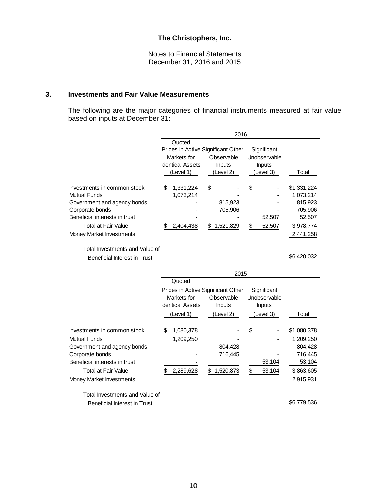Notes to Financial Statements December 31, 2016 and 2015

# **3. Investments and Fair Value Measurements**

The following are the major categories of financial instruments measured at fair value based on inputs at December 31:

|                                                | 2016                                              |                                                  |               |             |  |
|------------------------------------------------|---------------------------------------------------|--------------------------------------------------|---------------|-------------|--|
|                                                | Quoted                                            |                                                  |               |             |  |
|                                                | Prices in Active Significant Other<br>Significant |                                                  |               |             |  |
|                                                | Markets for                                       | Observable                                       | Unobservable  |             |  |
|                                                | <b>Identical Assets</b>                           | <b>Inputs</b>                                    | <b>Inputs</b> |             |  |
|                                                | (Level 1)                                         | (Level 2)                                        | (Level 3)     | Total       |  |
|                                                |                                                   |                                                  |               |             |  |
| Investments in common stock                    | 1,331,224<br>\$                                   | \$                                               | \$            | \$1,331,224 |  |
| <b>Mutual Funds</b>                            | 1,073,214                                         |                                                  |               | 1,073,214   |  |
| Government and agency bonds                    |                                                   | 815,923                                          |               | 815,923     |  |
| Corporate bonds                                |                                                   | 705,906                                          |               | 705,906     |  |
| Beneficial interests in trust                  |                                                   |                                                  | 52,507        | 52,507      |  |
| <b>Total at Fair Value</b>                     | 2,404,438<br>\$                                   | \$<br>1,521,829                                  | \$<br>52,507  | 3,978,774   |  |
| Money Market Investments                       |                                                   |                                                  |               | 2,441,258   |  |
|                                                |                                                   |                                                  |               |             |  |
| Total Investments and Value of                 |                                                   |                                                  |               |             |  |
| <b>Beneficial Interest in Trust</b>            |                                                   |                                                  |               | \$6,420,032 |  |
|                                                |                                                   |                                                  |               |             |  |
|                                                |                                                   | 2015                                             |               |             |  |
|                                                | Quoted                                            |                                                  |               |             |  |
|                                                |                                                   |                                                  |               |             |  |
|                                                |                                                   |                                                  | Significant   |             |  |
|                                                | Markets for                                       | Prices in Active Significant Other<br>Observable | Unobservable  |             |  |
|                                                | <b>Identical Assets</b>                           | <b>Inputs</b>                                    | <b>Inputs</b> |             |  |
|                                                |                                                   |                                                  |               |             |  |
|                                                | (Level 1)                                         | (Level 2)                                        | (Level 3)     | Total       |  |
| Investments in common stock                    | 1,080,378<br>\$                                   |                                                  | \$            | \$1,080,378 |  |
| <b>Mutual Funds</b>                            | 1,209,250                                         |                                                  |               | 1,209,250   |  |
|                                                |                                                   | 804,428                                          |               | 804,428     |  |
| Government and agency bonds<br>Corporate bonds |                                                   | 716,445                                          |               | 716,445     |  |
| Beneficial interests in trust                  |                                                   |                                                  | 53,104        | 53,104      |  |
| <b>Total at Fair Value</b>                     | \$                                                | \$                                               |               |             |  |
|                                                | 2,289,628                                         | 1,520,873                                        | \$<br>53,104  | 3,863,605   |  |
| Money Market Investments                       |                                                   |                                                  |               | 2,915,931   |  |

Beneficial Interest in Trust **\$6,779,536**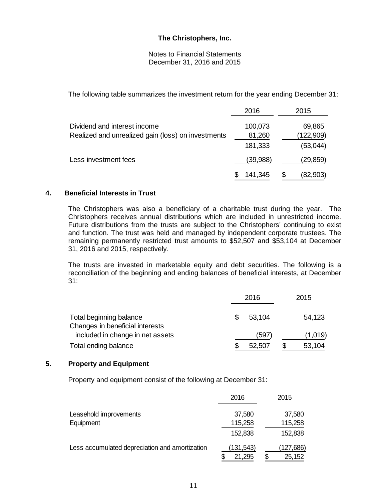Notes to Financial Statements December 31, 2016 and 2015

The following table summarizes the investment return for the year ending December 31:

|                                                    | 2016              |   | 2015                  |
|----------------------------------------------------|-------------------|---|-----------------------|
| Dividend and interest income                       | 100,073           |   | 69,865                |
| Realized and unrealized gain (loss) on investments | 81,260<br>181,333 |   | (122,909)<br>(53,044) |
| Less investment fees                               | (39,988)          |   | (29, 859)             |
|                                                    | 141,345           | S | (82,903)              |

# **4. Beneficial Interests in Trust**

The Christophers was also a beneficiary of a charitable trust during the year. The Christophers receives annual distributions which are included in unrestricted income. Future distributions from the trusts are subject to the Christophers' continuing to exist and function. The trust was held and managed by independent corporate trustees. The remaining permanently restricted trust amounts to \$52,507 and \$53,104 at December 31, 2016 and 2015, respectively.

The trusts are invested in marketable equity and debt securities. The following is a reconciliation of the beginning and ending balances of beneficial interests, at December 31:

|                                                                     |     | 2016   | 2015    |
|---------------------------------------------------------------------|-----|--------|---------|
| Total beginning balance                                             | \$. | 53,104 | 54,123  |
| Changes in beneficial interests<br>included in change in net assets |     | 597    | (1,019) |
| Total ending balance                                                |     | 52,507 | 53,104  |

# **5. Property and Equipment**

Property and equipment consist of the following at December 31:

|                                                | 2016      | 2015         |
|------------------------------------------------|-----------|--------------|
| Leasehold improvements                         | 37,580    | 37,580       |
| Equipment                                      | 115,258   | 115,258      |
|                                                | 152,838   | 152,838      |
| Less accumulated depreciation and amortization | (131,543) | (127,686)    |
|                                                | 21,295    | \$<br>25,152 |